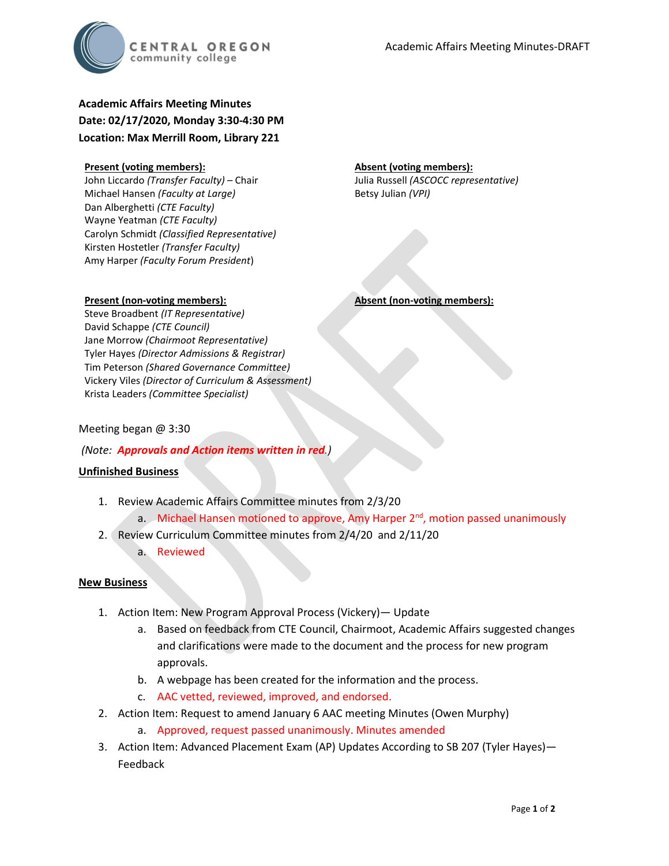

# **Academic Affairs Meeting Minutes Date: 02/17/2020, Monday 3:30-4:30 PM Location: Max Merrill Room, Library 221**

#### **Present (voting members):**

John Liccardo *(Transfer Faculty)* – Chair Michael Hansen *(Faculty at Large)* Dan Alberghetti *(CTE Faculty)* Wayne Yeatman *(CTE Faculty)* Carolyn Schmidt *(Classified Representative)* Kirsten Hostetler *(Transfer Faculty)* Amy Harper *(Faculty Forum President*)

#### **Absent (voting members):**

Julia Russell *(ASCOCC representative)* Betsy Julian *(VPI)*

#### **Present (non-voting members):**

Steve Broadbent *(IT Representative)* David Schappe *(CTE Council)* Jane Morrow *(Chairmoot Representative)* Tyler Hayes *(Director Admissions & Registrar)* Tim Peterson *(Shared Governance Committee)* Vickery Viles *(Director of Curriculum & Assessment)* Krista Leaders *(Committee Specialist)*

#### Meeting began @ 3:30

#### *(Note: Approvals and Action items written in red.)*

#### **Unfinished Business**

- 1. Review Academic Affairs Committee minutes from 2/3/20
	- a. Michael Hansen motioned to approve, Amy Harper  $2<sup>nd</sup>$ , motion passed unanimously
- 2. Review Curriculum Committee minutes from 2/4/20 and 2/11/20
	- a. Reviewed

#### **New Business**

- 1. Action Item: New Program Approval Process (Vickery)— Update
	- a. Based on feedback from CTE Council, Chairmoot, Academic Affairs suggested changes and clarifications were made to the document and the process for new program approvals.
	- b. A webpage has been created for the information and the process.
	- c. AAC vetted, reviewed, improved, and endorsed.
- 2. Action Item: Request to amend January 6 AAC meeting Minutes (Owen Murphy)
	- a. Approved, request passed unanimously. Minutes amended
- 3. Action Item: Advanced Placement Exam (AP) Updates According to SB 207 (Tyler Hayes)— Feedback

# **Absent (non-voting members):**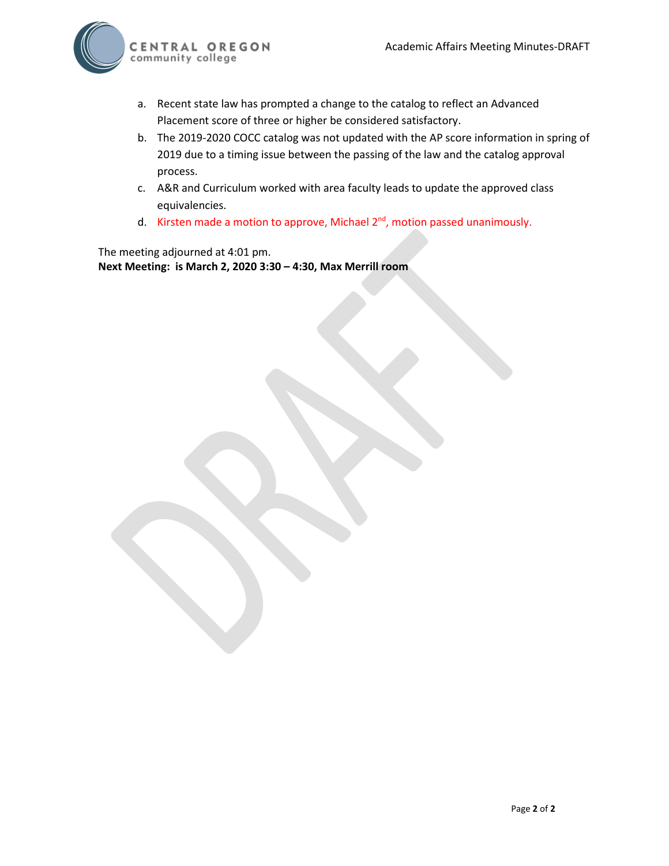

- a. Recent state law has prompted a change to the catalog to reflect an Advanced Placement score of three or higher be considered satisfactory.
- b. The 2019-2020 COCC catalog was not updated with the AP score information in spring of 2019 due to a timing issue between the passing of the law and the catalog approval process.
- c. A&R and Curriculum worked with area faculty leads to update the approved class equivalencies.
- d. Kirsten made a motion to approve, Michael  $2<sup>nd</sup>$ , motion passed unanimously.

The meeting adjourned at 4:01 pm. **Next Meeting: is March 2, 2020 3:30 – 4:30, Max Merrill room**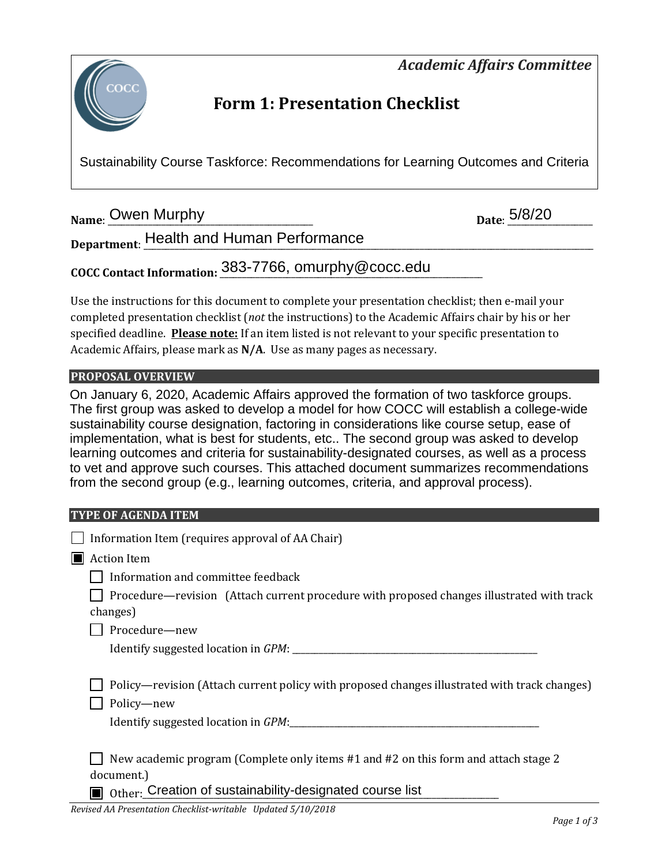*Academic Affairs Committee* 



# **Form 1: Presentation Checklist**

Sustainability Course Taskforce: Recommendations for Learning Outcomes and Criteria

**Name:** <u>Owen Murphy Electron Communications</u> of the set of the set of the set of the set of the set of the set of the set of the set of the set of the set of the set of the set of the set of the set of the set of the set

Department: <u>Health and Human Performance \_\_\_\_\_\_\_\_\_\_\_\_\_\_\_\_\_\_\_\_\_\_\_\_\_\_\_\_\_\_\_\_\_\_\_</u>

**COCC Contact Information:** \_\_\_\_\_\_\_\_\_\_\_\_\_\_\_\_\_\_\_\_\_\_\_\_\_\_\_\_\_\_\_\_\_\_\_\_\_\_\_\_\_\_\_\_\_\_\_\_\_\_\_\_\_\_\_\_\_\_\_ 383-7766, omurphy@cocc.edu

Use the instructions for this document to complete your presentation checklist; then e-mail your completed presentation checklist (*not* the instructions) to the Academic Affairs chair by his or her specified deadline. **Please note:** If an item listed is not relevant to your specific presentation to Academic Affairs, please mark as **N/A**. Use as many pages as necessary.

# **PROPOSAL OVERVIEW**

On January 6, 2020, Academic Affairs approved the formation of two taskforce groups. The first group was asked to develop a model for how COCC will establish a college-wide sustainability course designation, factoring in considerations like course setup, ease of implementation, what is best for students, etc.. The second group was asked to develop learning outcomes and criteria for sustainability-designated courses, as well as a process to vet and approve such courses. This attached document summarizes recommendations from the second group (e.g., learning outcomes, criteria, and approval process).

## **TYPE OF AGENDA ITEM**

| Information Item (requires approval of AA Chair)                                                           |
|------------------------------------------------------------------------------------------------------------|
| <b>Action Item</b>                                                                                         |
| Information and committee feedback                                                                         |
| Procedure—revision (Attach current procedure with proposed changes illustrated with track<br>changes)      |
| Procedure-new                                                                                              |
|                                                                                                            |
| Policy—revision (Attach current policy with proposed changes illustrated with track changes)<br>Policy-new |
| New academic program (Complete only items #1 and #2 on this form and attach stage 2<br>document.)          |

Other: Creation of sustainability-designated course list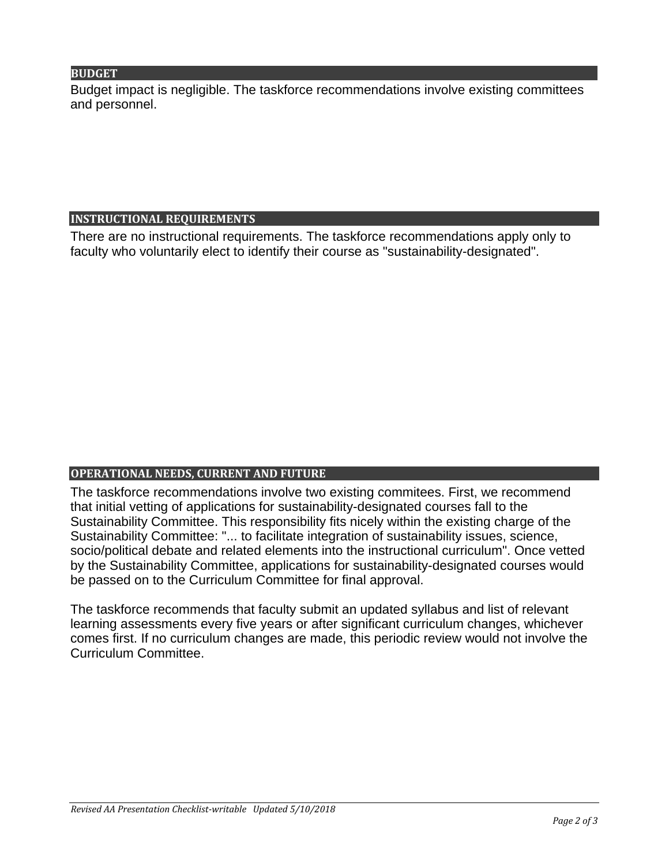## **BUDGET**

Budget impact is negligible. The taskforce recommendations involve existing committees and personnel.

## **INSTRUCTIONAL REQUIREMENTS**

There are no instructional requirements. The taskforce recommendations apply only to faculty who voluntarily elect to identify their course as "sustainability-designated".

# **OPERATIONAL NEEDS, CURRENT AND FUTURE**

The taskforce recommendations involve two existing commitees. First, we recommend that initial vetting of applications for sustainability-designated courses fall to the Sustainability Committee. This responsibility fits nicely within the existing charge of the Sustainability Committee: "... to facilitate integration of sustainability issues, science, socio/political debate and related elements into the instructional curriculum". Once vetted by the Sustainability Committee, applications for sustainability-designated courses would be passed on to the Curriculum Committee for final approval.

The taskforce recommends that faculty submit an updated syllabus and list of relevant learning assessments every five years or after significant curriculum changes, whichever comes first. If no curriculum changes are made, this periodic review would not involve the Curriculum Committee.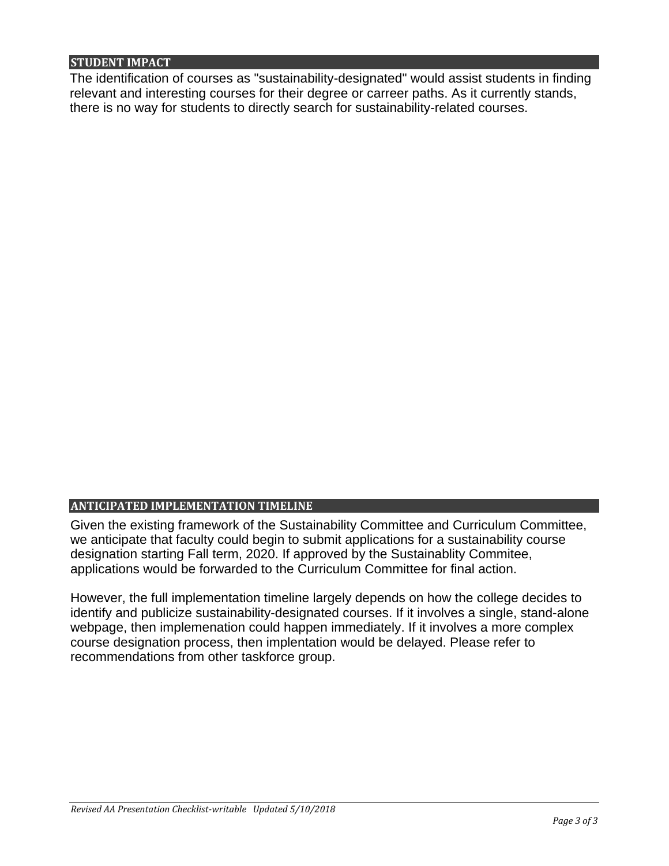## **STUDENT IMPACT**

The identification of courses as "sustainability-designated" would assist students in finding relevant and interesting courses for their degree or carreer paths. As it currently stands, there is no way for students to directly search for sustainability-related courses.

## **ANTICIPATED IMPLEMENTATION TIMELINE**

Given the existing framework of the Sustainability Committee and Curriculum Committee, we anticipate that faculty could begin to submit applications for a sustainability course designation starting Fall term, 2020. If approved by the Sustainablity Commitee, applications would be forwarded to the Curriculum Committee for final action.

However, the full implementation timeline largely depends on how the college decides to identify and publicize sustainability-designated courses. If it involves a single, stand-alone webpage, then implemenation could happen immediately. If it involves a more complex course designation process, then implentation would be delayed. Please refer to recommendations from other taskforce group.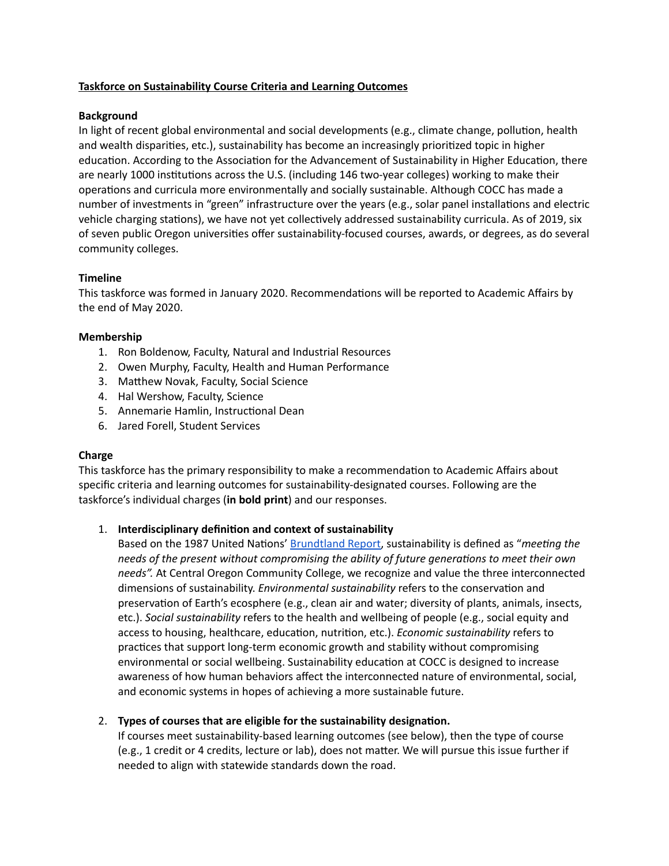#### **Taskforce on Sustainability Course Criteria and Learning Outcomes**

#### **Background**

In light of recent global environmental and social developments (e.g., climate change, pollution, health and wealth disparities, etc.), sustainability has become an increasingly prioritized topic in higher education. According to the Association for the Advancement of Sustainability in Higher Education, there are nearly 1000 institutions across the U.S. (including 146 two-year colleges) working to make their operations and curricula more environmentally and socially sustainable. Although COCC has made a number of investments in "green" infrastructure over the years (e.g., solar panel installations and electric vehicle charging stations), we have not yet collectively addressed sustainability curricula. As of 2019, six of seven public Oregon universities offer sustainability-focused courses, awards, or degrees, as do several community colleges.

### **Timeline**

This taskforce was formed in January 2020. Recommendations will be reported to Academic Affairs by the end of May 2020.

#### **Membership**

- 1. Ron Boldenow, Faculty, Natural and Industrial Resources
- 2. Owen Murphy, Faculty, Health and Human Performance
- 3. Matthew Novak, Faculty, Social Science
- 4. Hal Wershow, Faculty, Science
- 5. Annemarie Hamlin, Instructional Dean
- 6. Jared Forell, Student Services

#### **Charge**

This taskforce has the primary responsibility to make a recommendation to Academic Affairs about specific criteria and learning outcomes for sustainability-designated courses. Following are the taskforce's individual charges (**in bold print**) and our responses.

#### 1. **Interdisciplinary definion and context of sustainability**

Based on the 1987 United Nations' [Brundtland](https://sustainabledevelopment.un.org/content/documents/5987our-common-future.pdf) Report, sustainability is defined as "*meeting the needs* of the present without *compromising* the *ability* of future generations to meet their own *needs".* At Central Oregon Community College, we recognize and value the three interconnected dimensions of sustainability. *Environmental sustainability* refers to the conservation and preservation of Earth's ecosphere (e.g., clean air and water; diversity of plants, animals, insects, etc.). *Social sustainability* refers to the health and wellbeing of people (e.g., social equity and access to housing, healthcare, education, nutrition, etc.). *Economic sustainability* refers to practices that support long-term economic growth and stability without compromising environmental or social wellbeing. Sustainability education at COCC is designed to increase awareness of how human behaviors affect the interconnected nature of environmental, social, and economic systems in hopes of achieving a more sustainable future.

#### 2. **Types** of courses that are eligible for the sustainability designation.

If courses meet sustainability-based learning outcomes (see below), then the type of course (e.g., 1 credit or 4 credits, lecture or lab), does not matter. We will pursue this issue further if needed to align with statewide standards down the road.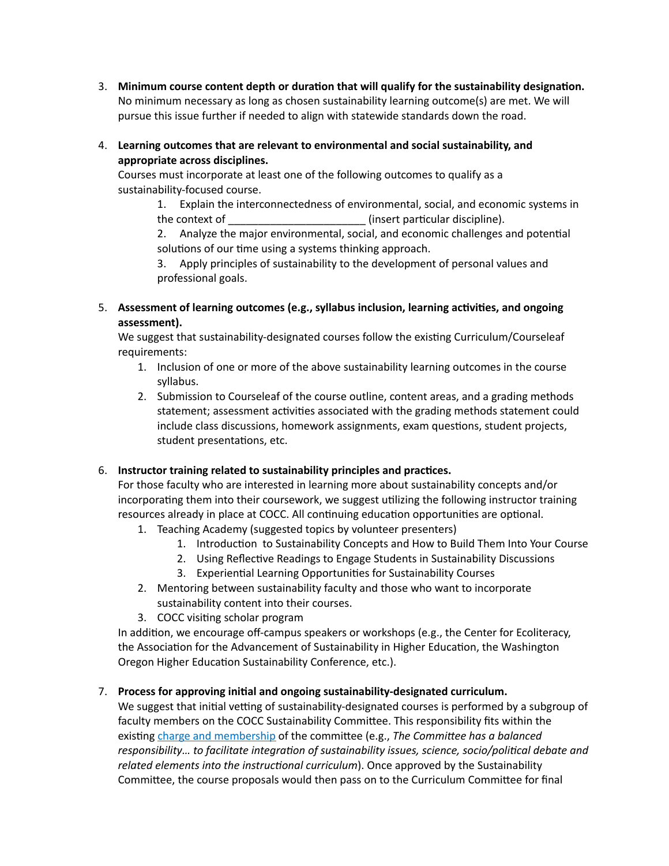- **3. Minimum course content depth or duration that will qualify for the sustainability designation.** No minimum necessary as long as chosen sustainability learning outcome(s) are met. We will pursue this issue further if needed to align with statewide standards down the road.
- 4. **Learning outcomes that are relevant to environmental and social sustainability, and appropriate across disciplines.**

Courses must incorporate at least one of the following outcomes to qualify as a sustainability-focused course.

1. Explain the interconnectedness of environmental, social, and economic systems in the context of  $\qquad \qquad$  (insert particular discipline).

2. Analyze the major environmental, social, and economic challenges and potential solutions of our time using a systems thinking approach.

3. Apply principles of sustainability to the development of personal values and professional goals.

5. **Assessment of learning outcomes (e.g., syllabus inclusion, learning acvies, and ongoing assessment).**

We suggest that sustainability-designated courses follow the existing Curriculum/Courseleaf requirements:

- 1. Inclusion of one or more of the above sustainability learning outcomes in the course syllabus.
- 2. Submission to Courseleaf of the course outline, content areas, and a grading methods statement; assessment activities associated with the grading methods statement could include class discussions, homework assignments, exam questions, student projects, student presentations, etc.

## 6. **Instructor training related to sustainability principles and pracces.**

For those faculty who are interested in learning more about sustainability concepts and/or incorporating them into their coursework, we suggest utilizing the following instructor training resources already in place at COCC. All continuing education opportunities are optional.

- 1. Teaching Academy (suggested topics by volunteer presenters)
	- 1. Introduction to Sustainability Concepts and How to Build Them Into Your Course
	- 2. Using Reflective Readings to Engage Students in Sustainability Discussions
	- 3. Experiential Learning Opportunities for Sustainability Courses
- 2. Mentoring between sustainability faculty and those who want to incorporate sustainability content into their courses.
- 3. COCC visiting scholar program

In addition, we encourage off-campus speakers or workshops (e.g., the Center for Ecoliteracy, the Association for the Advancement of Sustainability in Higher Education, the Washington Oregon Higher Education Sustainability Conference, etc.).

# 7. **Process for approving inial and ongoing sustainability-designated curriculum.**

We suggest that initial vetting of sustainability-designated courses is performed by a subgroup of faculty members on the COCC Sustainability Committee. This responsibility fits within the existing charge and [membership](https://www.cocc.edu/committees/sustainability/default.aspx) of the committee (e.g., *The Committee has a balanced responsibility... to facilitate integration of sustainability issues, science, socio/political debate and related elements into the instructional curriculum*). Once approved by the Sustainability Committee, the course proposals would then pass on to the Curriculum Committee for final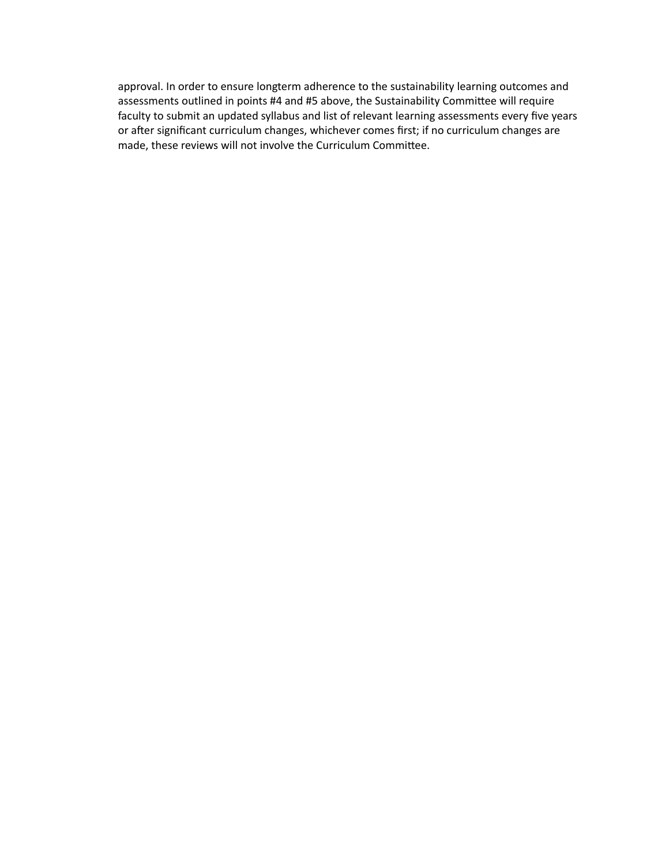approval. In order to ensure longterm adherence to the sustainability learning outcomes and assessments outlined in points #4 and #5 above, the Sustainability Committee will require faculty to submit an updated syllabus and list of relevant learning assessments every five years or after significant curriculum changes, whichever comes first; if no curriculum changes are made, these reviews will not involve the Curriculum Committee.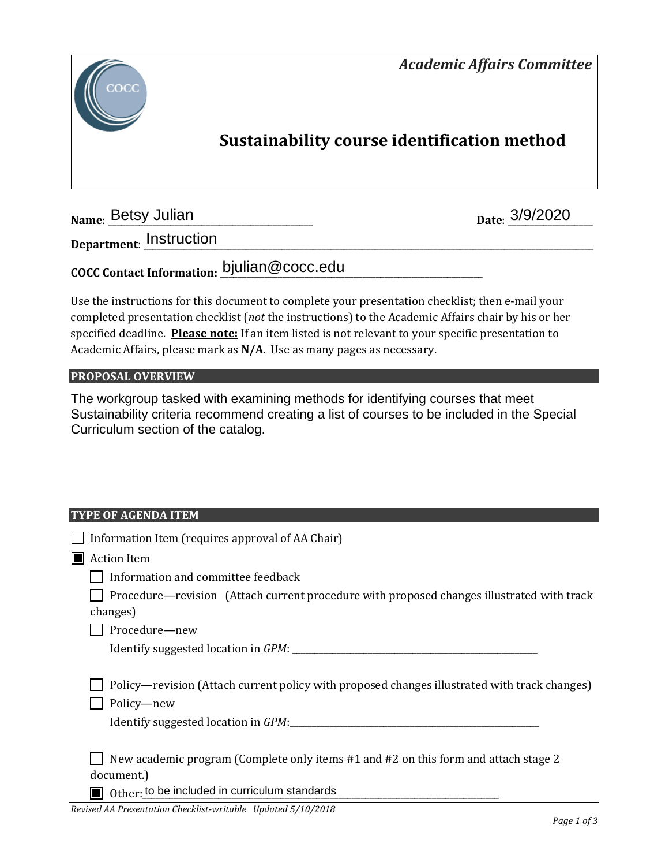



# **Sustainability course identification method**

**Name: Betsy Julian** 

Date: 3/9/2020

**Department**: \_\_\_\_\_\_\_\_\_\_\_\_\_\_\_\_\_\_\_\_\_\_\_\_\_\_\_\_\_\_\_\_\_\_\_\_\_\_\_\_\_\_\_\_\_\_\_\_\_\_\_\_\_\_\_\_\_\_\_\_\_\_\_\_\_\_\_\_\_\_\_\_\_\_\_\_\_\_\_\_\_\_\_\_\_\_\_\_\_\_\_\_\_\_\_\_\_\_\_\_\_ Instruction

**COCC Contact Information:** \_\_\_\_\_\_\_\_\_\_\_\_\_\_\_\_\_\_\_\_\_\_\_\_\_\_\_\_\_\_\_\_\_\_\_\_\_\_\_\_\_\_\_\_\_\_\_\_\_\_\_\_\_\_\_\_\_\_\_ bjulian@cocc.edu

Use the instructions for this document to complete your presentation checklist; then e-mail your completed presentation checklist (*not* the instructions) to the Academic Affairs chair by his or her specified deadline. **Please note:** If an item listed is not relevant to your specific presentation to Academic Affairs, please mark as **N/A**. Use as many pages as necessary.

## **PROPOSAL OVERVIEW**

The workgroup tasked with examining methods for identifying courses that meet Sustainability criteria recommend creating a list of courses to be included in the Special Curriculum section of the catalog.

## **TYPE OF AGENDA ITEM**

|                | Information Item (requires approval of AA Chair)                                                                                                   |
|----------------|----------------------------------------------------------------------------------------------------------------------------------------------------|
| $\blacksquare$ | <b>Action Item</b>                                                                                                                                 |
|                | Information and committee feedback                                                                                                                 |
|                | Procedure—revision (Attach current procedure with proposed changes illustrated with track<br>changes)                                              |
|                | Procedure-new                                                                                                                                      |
|                |                                                                                                                                                    |
|                | Policy—revision (Attach current policy with proposed changes illustrated with track changes)<br>Policy-new                                         |
|                | New academic program (Complete only items #1 and #2 on this form and attach stage 2<br>document.)<br>Other: to be included in curriculum standards |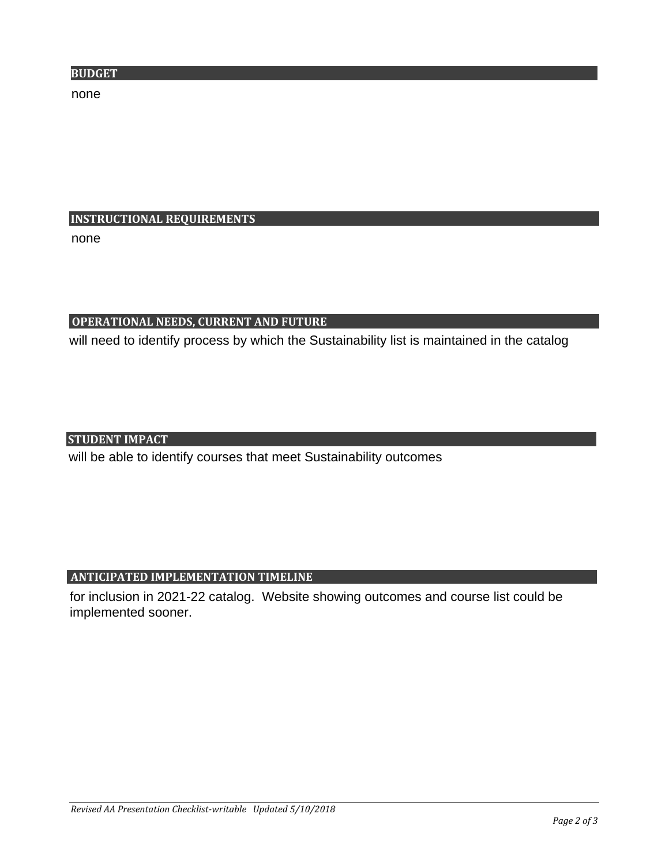none

# **INSTRUCTIONAL REQUIREMENTS**

none

# **OPERATIONAL NEEDS, CURRENT AND FUTURE**

will need to identify process by which the Sustainability list is maintained in the catalog

## **STUDENT IMPACT**

will be able to identify courses that meet Sustainability outcomes

# **ANTICIPATED IMPLEMENTATION TIMELINE**

for inclusion in 2021-22 catalog. Website showing outcomes and course list could be implemented sooner.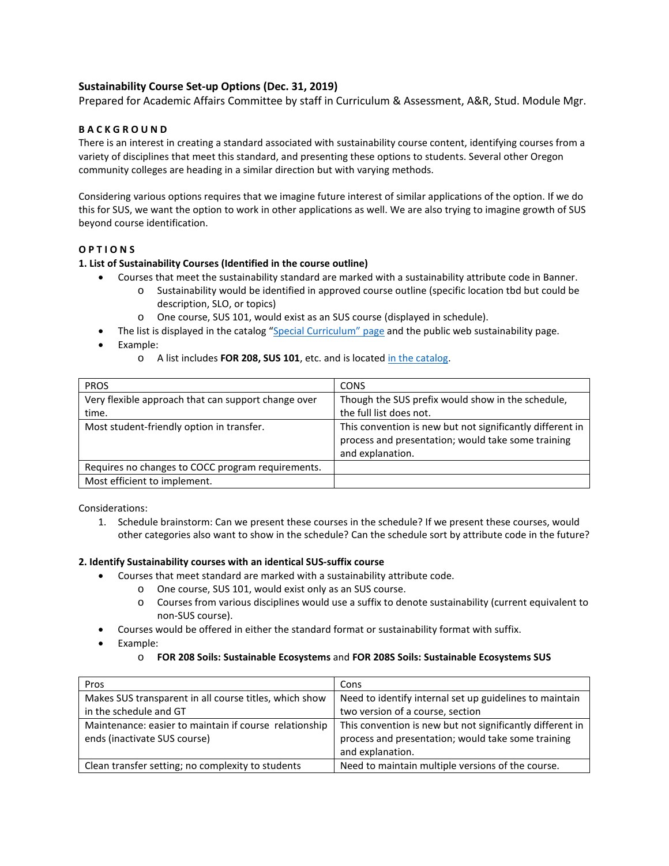#### **Sustainability Course Set-up Options (Dec. 31, 2019)**

Prepared for Academic Affairs Committee by staff in Curriculum & Assessment, A&R, Stud. Module Mgr.

#### **B A C K G R O U N D**

There is an interest in creating a standard associated with sustainability course content, identifying courses from a variety of disciplines that meet this standard, and presenting these options to students. Several other Oregon community colleges are heading in a similar direction but with varying methods.

Considering various options requires that we imagine future interest of similar applications of the option. If we do this for SUS, we want the option to work in other applications as well. We are also trying to imagine growth of SUS beyond course identification.

#### **O P T I O N S**

#### **1. List of Sustainability Courses (Identified in the course outline)**

- Courses that meet the sustainability standard are marked with a sustainability attribute code in Banner.
	- o Sustainability would be identified in approved course outline (specific location tbd but could be description, SLO, or topics)
	- o One course, SUS 101, would exist as an SUS course (displayed in schedule).
- The list is displayed in the catalog ["Special Curriculum" page](https://catalog.cocc.edu/degree-certificate-overview/special-curriculum/) and the public web sustainability page.
- Example:
	- o A list includes **FOR 208, SUS 101**, etc. and is located [in the catalog.](https://catalog.cocc.edu/degree-certificate-overview/special-curriculum/)

| <b>PROS</b>                                         | <b>CONS</b>                                                                                                                         |
|-----------------------------------------------------|-------------------------------------------------------------------------------------------------------------------------------------|
| Very flexible approach that can support change over | Though the SUS prefix would show in the schedule,                                                                                   |
| time.                                               | the full list does not.                                                                                                             |
| Most student-friendly option in transfer.           | This convention is new but not significantly different in<br>process and presentation; would take some training<br>and explanation. |
| Requires no changes to COCC program requirements.   |                                                                                                                                     |
| Most efficient to implement.                        |                                                                                                                                     |

Considerations:

1. Schedule brainstorm: Can we present these courses in the schedule? If we present these courses, would other categories also want to show in the schedule? Can the schedule sort by attribute code in the future?

#### **2. Identify Sustainability courses with an identical SUS-suffix course**

- Courses that meet standard are marked with a sustainability attribute code.
	- o One course, SUS 101, would exist only as an SUS course.
	- o Courses from various disciplines would use a suffix to denote sustainability (current equivalent to non-SUS course).
- Courses would be offered in either the standard format or sustainability format with suffix.
- Example:
	- o **FOR 208 Soils: Sustainable Ecosystems** and **FOR 208S Soils: Sustainable Ecosystems SUS**

| Pros                                                   | Cons                                                      |
|--------------------------------------------------------|-----------------------------------------------------------|
| Makes SUS transparent in all course titles, which show | Need to identify internal set up guidelines to maintain   |
| in the schedule and GT                                 | two version of a course, section                          |
| Maintenance: easier to maintain if course relationship | This convention is new but not significantly different in |
| ends (inactivate SUS course)                           | process and presentation; would take some training        |
|                                                        | and explanation.                                          |
| Clean transfer setting; no complexity to students      | Need to maintain multiple versions of the course.         |